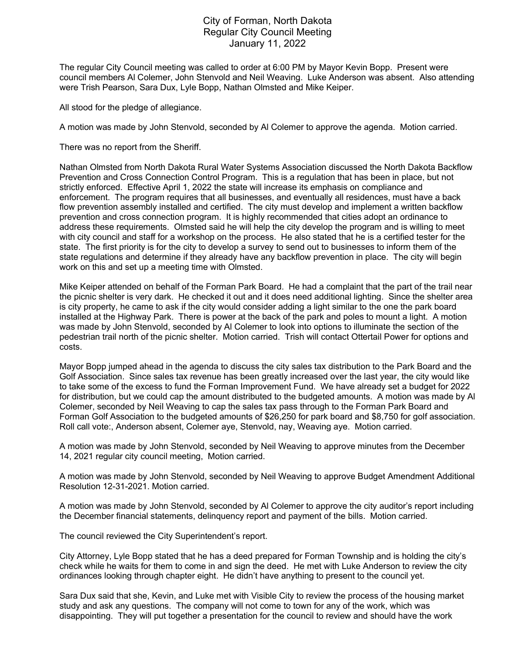## City of Forman, North Dakota Regular City Council Meeting January 11, 2022

The regular City Council meeting was called to order at 6:00 PM by Mayor Kevin Bopp. Present were council members Al Colemer, John Stenvold and Neil Weaving. Luke Anderson was absent. Also attending were Trish Pearson, Sara Dux, Lyle Bopp, Nathan Olmsted and Mike Keiper.

All stood for the pledge of allegiance.

A motion was made by John Stenvold, seconded by Al Colemer to approve the agenda. Motion carried.

There was no report from the Sheriff.

Nathan Olmsted from North Dakota Rural Water Systems Association discussed the North Dakota Backflow Prevention and Cross Connection Control Program. This is a regulation that has been in place, but not strictly enforced. Effective April 1, 2022 the state will increase its emphasis on compliance and enforcement. The program requires that all businesses, and eventually all residences, must have a back flow prevention assembly installed and certified. The city must develop and implement a written backflow prevention and cross connection program. It is highly recommended that cities adopt an ordinance to address these requirements. Olmsted said he will help the city develop the program and is willing to meet with city council and staff for a workshop on the process. He also stated that he is a certified tester for the state. The first priority is for the city to develop a survey to send out to businesses to inform them of the state regulations and determine if they already have any backflow prevention in place. The city will begin work on this and set up a meeting time with Olmsted.

Mike Keiper attended on behalf of the Forman Park Board. He had a complaint that the part of the trail near the picnic shelter is very dark. He checked it out and it does need additional lighting. Since the shelter area is city property, he came to ask if the city would consider adding a light similar to the one the park board installed at the Highway Park. There is power at the back of the park and poles to mount a light. A motion was made by John Stenvold, seconded by Al Colemer to look into options to illuminate the section of the pedestrian trail north of the picnic shelter. Motion carried. Trish will contact Ottertail Power for options and costs.

Mayor Bopp jumped ahead in the agenda to discuss the city sales tax distribution to the Park Board and the Golf Association. Since sales tax revenue has been greatly increased over the last year, the city would like to take some of the excess to fund the Forman Improvement Fund. We have already set a budget for 2022 for distribution, but we could cap the amount distributed to the budgeted amounts. A motion was made by Al Colemer, seconded by Neil Weaving to cap the sales tax pass through to the Forman Park Board and Forman Golf Association to the budgeted amounts of \$26,250 for park board and \$8,750 for golf association. Roll call vote:, Anderson absent, Colemer aye, Stenvold, nay, Weaving aye. Motion carried.

A motion was made by John Stenvold, seconded by Neil Weaving to approve minutes from the December 14, 2021 regular city council meeting, Motion carried.

A motion was made by John Stenvold, seconded by Neil Weaving to approve Budget Amendment Additional Resolution 12-31-2021. Motion carried.

A motion was made by John Stenvold, seconded by Al Colemer to approve the city auditor's report including the December financial statements, delinquency report and payment of the bills. Motion carried.

The council reviewed the City Superintendent's report.

City Attorney, Lyle Bopp stated that he has a deed prepared for Forman Township and is holding the city's check while he waits for them to come in and sign the deed. He met with Luke Anderson to review the city ordinances looking through chapter eight. He didn't have anything to present to the council yet.

Sara Dux said that she, Kevin, and Luke met with Visible City to review the process of the housing market study and ask any questions. The company will not come to town for any of the work, which was disappointing. They will put together a presentation for the council to review and should have the work